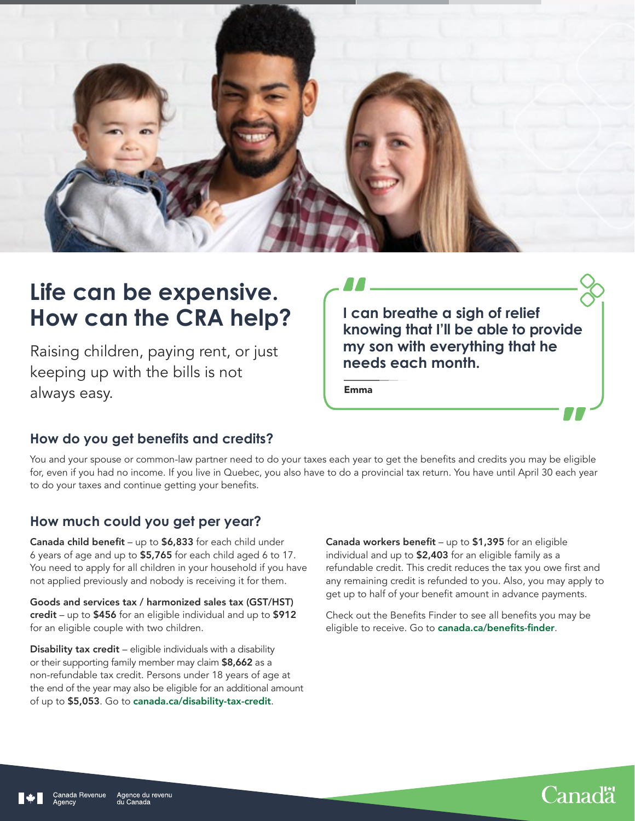

# **Life can be expensive. How can the CRA help?**

Raising children, paying rent, or just keeping up with the bills is not always easy.

**I can breathe a sigh of relief knowing that I'll be able to provide my son with everything that he needs each month.**

Emma

# **How do you get benefits and credits?**

You and your spouse or common-law partner need to do your taxes each year to get the benefits and credits you may be eligible for, even if you had no income. If you live in Quebec, you also have to do a provincial tax return. You have until April 30 each year to do your taxes and continue getting your benefits.

### **How much could you get per year?**

Canada child benefit – up to \$6,833 for each child under 6 years of age and up to \$5,765 for each child aged 6 to 17. You need to apply for all children in your household if you have not applied previously and nobody is receiving it for them.

Goods and services tax / harmonized sales tax (GST/HST) credit – up to \$456 for an eligible individual and up to \$912 for an eligible couple with two children.

Disability tax credit - eligible individuals with a disability or their supporting family member may claim \$8,662 as a non-refundable tax credit. Persons under 18 years of age at the end of the year may also be eligible for an additional amount of up to \$5,053. Go to [canada.ca/disability-tax-credit](http://canada.ca/disability-tax-credit).

Canada workers benefit – up to \$1,395 for an eligible individual and up to \$2,403 for an eligible family as a refundable credit. This credit reduces the tax you owe first and any remaining credit is refunded to you. Also, you may apply to get up to half of your benefit amount in advance payments.

Check out the Benefits Finder to see all benefits you may be eligible to receive. Go to [canada.ca/benefits-finder](http://canada.ca/benefits-finder).